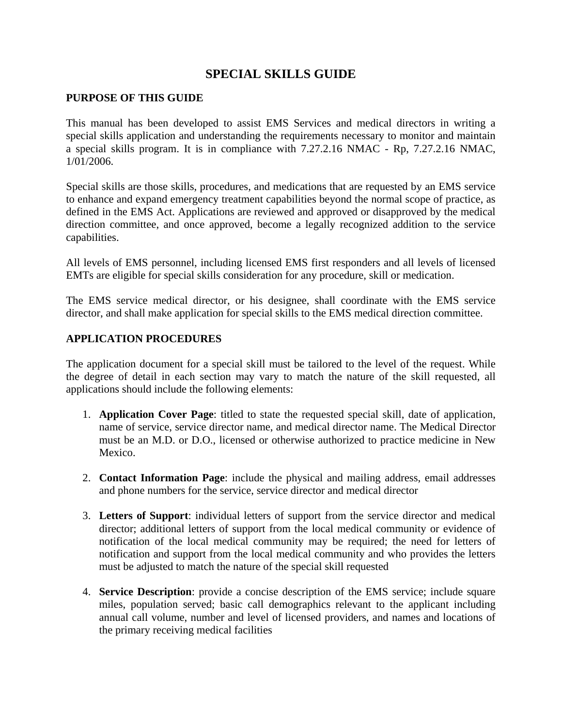# **SPECIAL SKILLS GUIDE**

### **PURPOSE OF THIS GUIDE**

This manual has been developed to assist EMS Services and medical directors in writing a special skills application and understanding the requirements necessary to monitor and maintain a special skills program. It is in compliance with 7.27.2.16 NMAC - Rp, 7.27.2.16 NMAC, 1/01/2006.

Special skills are those skills, procedures, and medications that are requested by an EMS service to enhance and expand emergency treatment capabilities beyond the normal scope of practice, as defined in the EMS Act. Applications are reviewed and approved or disapproved by the medical direction committee, and once approved, become a legally recognized addition to the service capabilities.

All levels of EMS personnel, including licensed EMS first responders and all levels of licensed EMTs are eligible for special skills consideration for any procedure, skill or medication.

The EMS service medical director, or his designee, shall coordinate with the EMS service director, and shall make application for special skills to the EMS medical direction committee.

### **APPLICATION PROCEDURES**

The application document for a special skill must be tailored to the level of the request. While the degree of detail in each section may vary to match the nature of the skill requested, all applications should include the following elements:

- 1. **Application Cover Page**: titled to state the requested special skill, date of application, name of service, service director name, and medical director name. The Medical Director must be an M.D. or D.O., licensed or otherwise authorized to practice medicine in New Mexico.
- 2. **Contact Information Page**: include the physical and mailing address, email addresses and phone numbers for the service, service director and medical director
- 3. **Letters of Support**: individual letters of support from the service director and medical director; additional letters of support from the local medical community or evidence of notification of the local medical community may be required; the need for letters of notification and support from the local medical community and who provides the letters must be adjusted to match the nature of the special skill requested
- 4. **Service Description**: provide a concise description of the EMS service; include square miles, population served; basic call demographics relevant to the applicant including annual call volume, number and level of licensed providers, and names and locations of the primary receiving medical facilities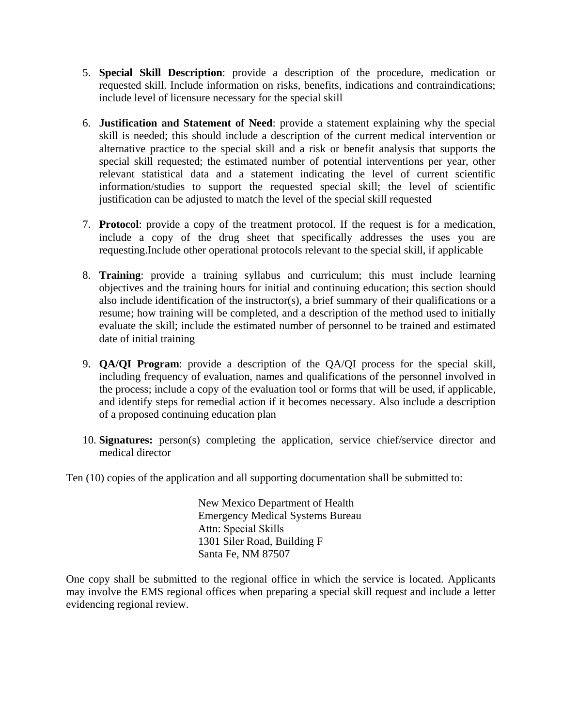- 5. **Special Skill Description**: provide a description of the procedure, medication or requested skill. Include information on risks, benefits, indications and contraindications; include level of licensure necessary for the special skill
- 6. **Justification and Statement of Need**: provide a statement explaining why the special skill is needed; this should include a description of the current medical intervention or alternative practice to the special skill and a risk or benefit analysis that supports the special skill requested; the estimated number of potential interventions per year, other relevant statistical data and a statement indicating the level of current scientific information/studies to support the requested special skill; the level of scientific justification can be adjusted to match the level of the special skill requested
- 7. **Protocol**: provide a copy of the treatment protocol. If the request is for a medication, include a copy of the drug sheet that specifically addresses the uses you are requesting.Include other operational protocols relevant to the special skill, if applicable
- 8. **Training**: provide a training syllabus and curriculum; this must include learning objectives and the training hours for initial and continuing education; this section should also include identification of the instructor(s), a brief summary of their qualifications or a resume; how training will be completed, and a description of the method used to initially evaluate the skill; include the estimated number of personnel to be trained and estimated date of initial training
- 9. **QA/QI Program**: provide a description of the QA/QI process for the special skill, including frequency of evaluation, names and qualifications of the personnel involved in the process; include a copy of the evaluation tool or forms that will be used, if applicable, and identify steps for remedial action if it becomes necessary. Also include a description of a proposed continuing education plan
- 10. **Signatures:** person(s) completing the application, service chief/service director and medical director

Ten (10) copies of the application and all supporting documentation shall be submitted to:

New Mexico Department of Health Emergency Medical Systems Bureau Attn: Special Skills 1301 Siler Road, Building F Santa Fe, NM 87507

One copy shall be submitted to the regional office in which the service is located. Applicants may involve the EMS regional offices when preparing a special skill request and include a letter evidencing regional review.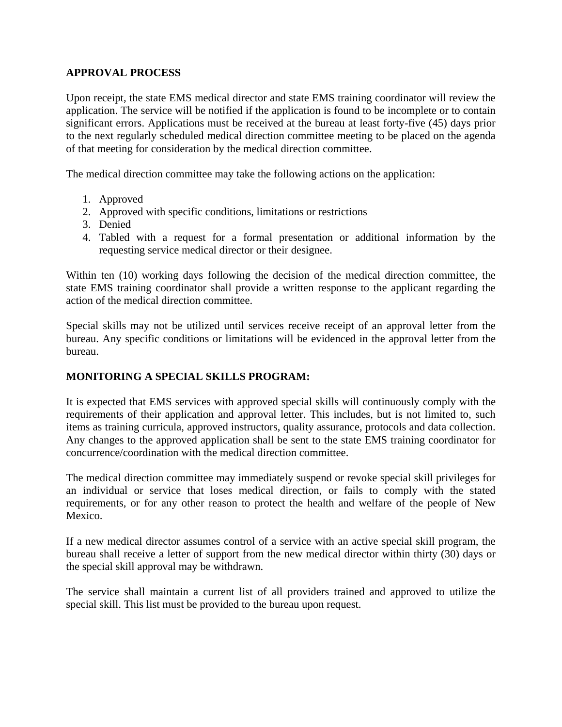## **APPROVAL PROCESS**

Upon receipt, the state EMS medical director and state EMS training coordinator will review the application. The service will be notified if the application is found to be incomplete or to contain significant errors. Applications must be received at the bureau at least forty-five (45) days prior to the next regularly scheduled medical direction committee meeting to be placed on the agenda of that meeting for consideration by the medical direction committee.

The medical direction committee may take the following actions on the application:

- 1. Approved
- 2. Approved with specific conditions, limitations or restrictions
- 3. Denied
- 4. Tabled with a request for a formal presentation or additional information by the requesting service medical director or their designee.

Within ten (10) working days following the decision of the medical direction committee, the state EMS training coordinator shall provide a written response to the applicant regarding the action of the medical direction committee.

Special skills may not be utilized until services receive receipt of an approval letter from the bureau. Any specific conditions or limitations will be evidenced in the approval letter from the bureau.

## **MONITORING A SPECIAL SKILLS PROGRAM:**

It is expected that EMS services with approved special skills will continuously comply with the requirements of their application and approval letter. This includes, but is not limited to, such items as training curricula, approved instructors, quality assurance, protocols and data collection. Any changes to the approved application shall be sent to the state EMS training coordinator for concurrence/coordination with the medical direction committee.

The medical direction committee may immediately suspend or revoke special skill privileges for an individual or service that loses medical direction, or fails to comply with the stated requirements, or for any other reason to protect the health and welfare of the people of New Mexico.

If a new medical director assumes control of a service with an active special skill program, the bureau shall receive a letter of support from the new medical director within thirty (30) days or the special skill approval may be withdrawn.

The service shall maintain a current list of all providers trained and approved to utilize the special skill. This list must be provided to the bureau upon request.